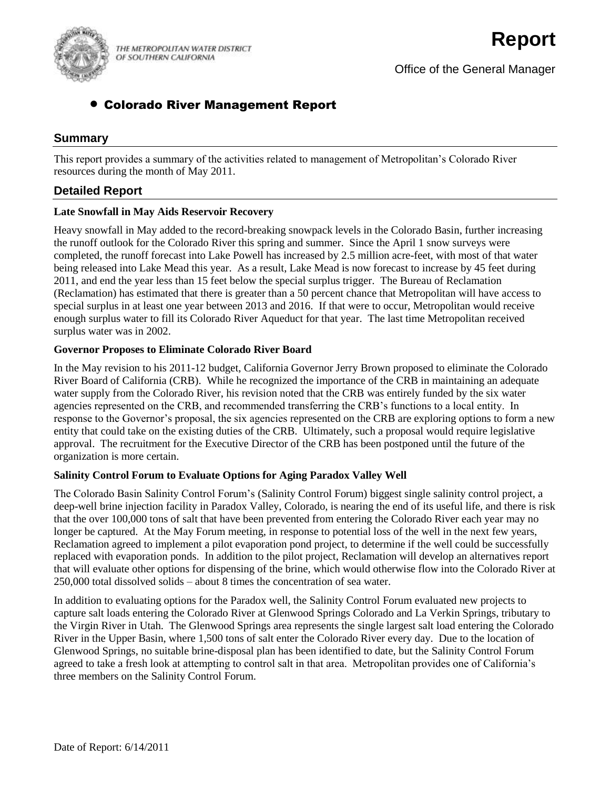

THE METROPOLITAN WATER DISTRICT OF SOUTHERN CALIFORNIA

# Colorado River Management Report

# **Summary**

This report provides a summary of the activities related to management of Metropolitan's Colorado River resources during the month of May 2011.

# **Detailed Report**

### **Late Snowfall in May Aids Reservoir Recovery**

Heavy snowfall in May added to the record-breaking snowpack levels in the Colorado Basin, further increasing the runoff outlook for the Colorado River this spring and summer. Since the April 1 snow surveys were completed, the runoff forecast into Lake Powell has increased by 2.5 million acre-feet, with most of that water being released into Lake Mead this year. As a result, Lake Mead is now forecast to increase by 45 feet during 2011, and end the year less than 15 feet below the special surplus trigger. The Bureau of Reclamation (Reclamation) has estimated that there is greater than a 50 percent chance that Metropolitan will have access to special surplus in at least one year between 2013 and 2016. If that were to occur, Metropolitan would receive enough surplus water to fill its Colorado River Aqueduct for that year. The last time Metropolitan received surplus water was in 2002.

### **Governor Proposes to Eliminate Colorado River Board**

In the May revision to his 2011-12 budget, California Governor Jerry Brown proposed to eliminate the Colorado River Board of California (CRB). While he recognized the importance of the CRB in maintaining an adequate water supply from the Colorado River, his revision noted that the CRB was entirely funded by the six water agencies represented on the CRB, and recommended transferring the CRB's functions to a local entity. In response to the Governor's proposal, the six agencies represented on the CRB are exploring options to form a new entity that could take on the existing duties of the CRB. Ultimately, such a proposal would require legislative approval. The recruitment for the Executive Director of the CRB has been postponed until the future of the organization is more certain.

### **Salinity Control Forum to Evaluate Options for Aging Paradox Valley Well**

The Colorado Basin Salinity Control Forum's (Salinity Control Forum) biggest single salinity control project, a deep-well brine injection facility in Paradox Valley, Colorado, is nearing the end of its useful life, and there is risk that the over 100,000 tons of salt that have been prevented from entering the Colorado River each year may no longer be captured. At the May Forum meeting, in response to potential loss of the well in the next few years, Reclamation agreed to implement a pilot evaporation pond project, to determine if the well could be successfully replaced with evaporation ponds. In addition to the pilot project, Reclamation will develop an alternatives report that will evaluate other options for dispensing of the brine, which would otherwise flow into the Colorado River at 250,000 total dissolved solids – about 8 times the concentration of sea water.

In addition to evaluating options for the Paradox well, the Salinity Control Forum evaluated new projects to capture salt loads entering the Colorado River at Glenwood Springs Colorado and La Verkin Springs, tributary to the Virgin River in Utah. The Glenwood Springs area represents the single largest salt load entering the Colorado River in the Upper Basin, where 1,500 tons of salt enter the Colorado River every day. Due to the location of Glenwood Springs, no suitable brine-disposal plan has been identified to date, but the Salinity Control Forum agreed to take a fresh look at attempting to control salt in that area. Metropolitan provides one of California's three members on the Salinity Control Forum.